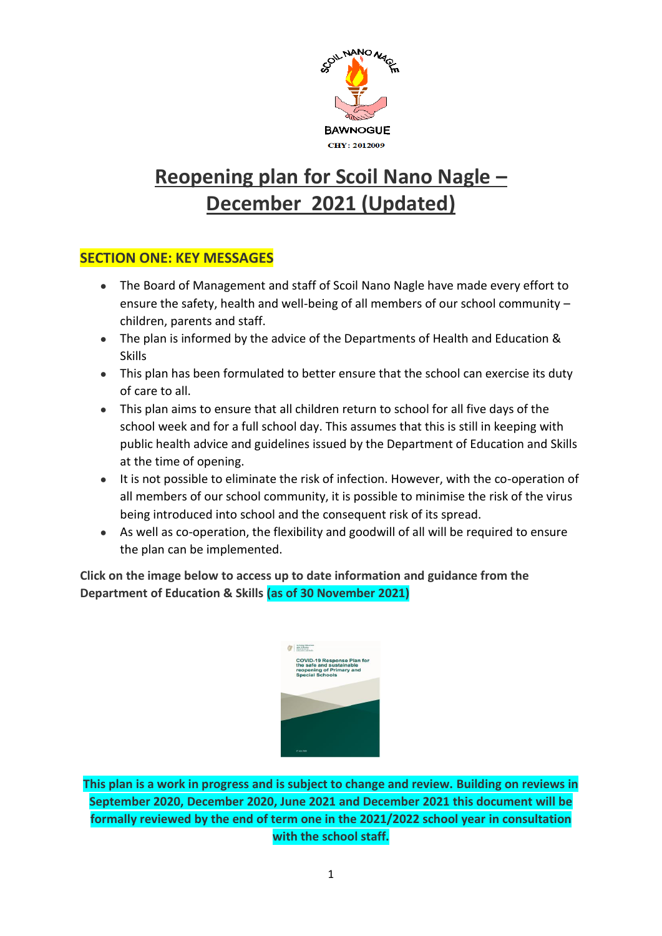

# **Reopening plan for Scoil Nano Nagle – December 2021 (Updated)**

# **SECTION ONE: KEY MESSAGES**

- The Board of Management and staff of Scoil Nano Nagle have made every effort to ensure the safety, health and well-being of all members of our school community – children, parents and staff.
- The plan is informed by the advice of the Departments of Health and Education & Skills
- This plan has been formulated to better ensure that the school can exercise its duty of care to all.
- This plan aims to ensure that all children return to school for all five days of the school week and for a full school day. This assumes that this is still in keeping with public health advice and guidelines issued by the Department of Education and Skills at the time of opening.
- It is not possible to eliminate the risk of infection. However, with the co-operation of all members of our school community, it is possible to minimise the risk of the virus being introduced into school and the consequent risk of its spread.
- As well as co-operation, the flexibility and goodwill of all will be required to ensure the plan can be implemented.

**Click on the image below to access up to date information and guidance from the Department of Education & Skills (as of 30 November 2021)**



**This plan is a work in progress and is subject to change and review. Building on reviews in September 2020, December 2020, June 2021 and December 2021 this document will be formally reviewed by the end of term one in the 2021/2022 school year in consultation with the school staff.**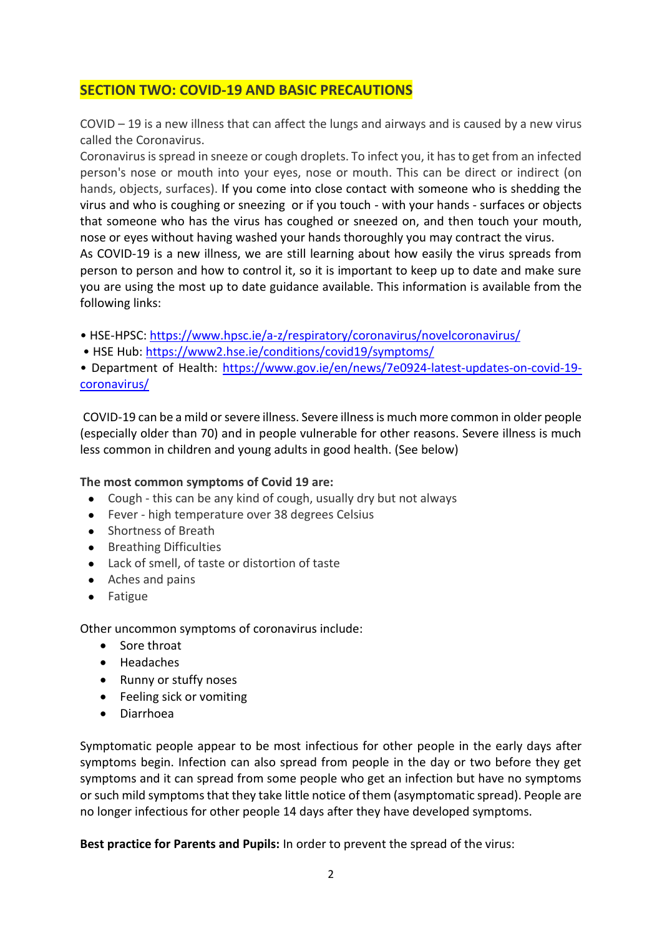# **SECTION TWO: COVID-19 AND BASIC PRECAUTIONS**

COVID – 19 is a new illness that can affect the lungs and airways and is caused by a new virus called the Coronavirus.

Coronavirus is spread in sneeze or cough droplets. To infect you, it has to get from an infected person's nose or mouth into your eyes, nose or mouth. This can be direct or indirect (on hands, objects, surfaces). If you come into close contact with someone who is shedding the virus and who is coughing or sneezing or if you touch - with your hands - surfaces or objects that someone who has the virus has coughed or sneezed on, and then touch your mouth, nose or eyes without having washed your hands thoroughly you may contract the virus.

As COVID-19 is a new illness, we are still learning about how easily the virus spreads from person to person and how to control it, so it is important to keep up to date and make sure you are using the most up to date guidance available. This information is available from the following links:

• HSE-HPSC[: https://www.hpsc.ie/a-z/respiratory/coronavirus/novelcoronavirus/](https://www.hpsc.ie/a-z/respiratory/coronavirus/novelcoronavirus/)

• HSE Hub: <https://www2.hse.ie/conditions/covid19/symptoms/>

• Department of Health: [https://www.gov.ie/en/news/7e0924-latest-updates-on-covid-19](https://www.gov.ie/en/news/7e0924-latest-updates-on-covid-19-coronavirus/) [coronavirus/](https://www.gov.ie/en/news/7e0924-latest-updates-on-covid-19-coronavirus/)

COVID-19 can be a mild or severe illness. Severe illness is much more common in older people (especially older than 70) and in people vulnerable for other reasons. Severe illness is much less common in children and young adults in good health. (See below)

### **The most common symptoms of Covid 19 are:**

- Cough this can be any kind of cough, usually dry but not always
- Fever high temperature over 38 degrees Celsius
- Shortness of Breath
- Breathing Difficulties
- Lack of smell, of taste or distortion of taste
- Aches and pains
- Fatigue

Other uncommon symptoms of coronavirus include:

- Sore throat
- Headaches
- Runny or stuffy noses
- Feeling sick or vomiting
- Diarrhoea

Symptomatic people appear to be most infectious for other people in the early days after symptoms begin. Infection can also spread from people in the day or two before they get symptoms and it can spread from some people who get an infection but have no symptoms or such mild symptoms that they take little notice of them (asymptomatic spread). People are no longer infectious for other people 14 days after they have developed symptoms.

**Best practice for Parents and Pupils:** In order to prevent the spread of the virus: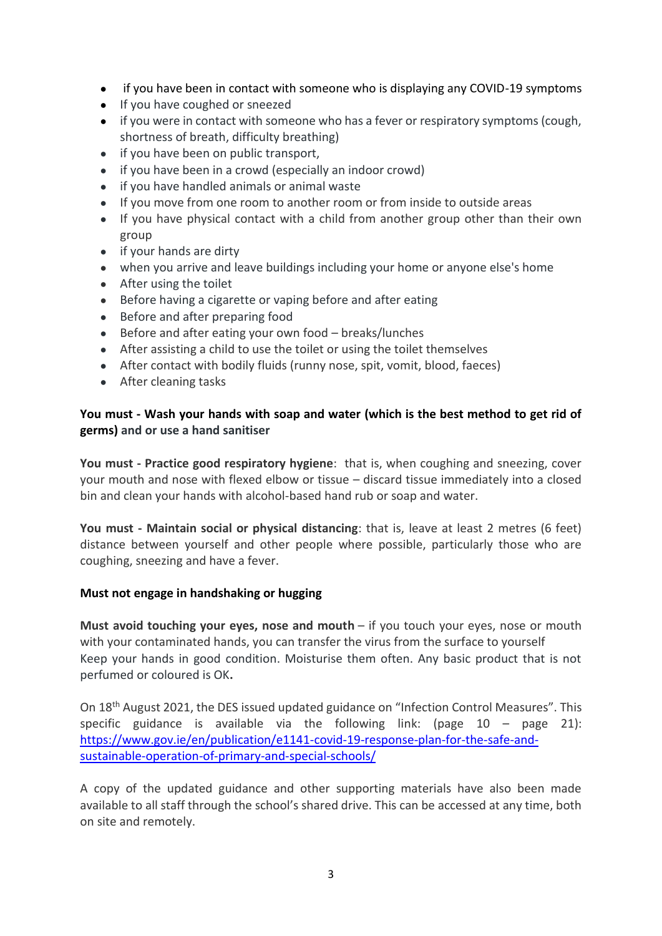- if you have been in contact with someone who is displaying any COVID-19 symptoms
- If you have coughed or sneezed
- if you were in contact with someone who has a fever or respiratory symptoms (cough, shortness of breath, difficulty breathing)
- if you have been on public transport,
- if you have been in a crowd (especially an indoor crowd)
- if you have handled animals or animal waste
- If you move from one room to another room or from inside to outside areas
- If you have physical contact with a child from another group other than their own group
- if your hands are dirty
- when you arrive and leave buildings including your home or anyone else's home
- After using the toilet
- Before having a cigarette or vaping before and after eating
- Before and after preparing food
- Before and after eating your own food breaks/lunches
- After assisting a child to use the toilet or using the toilet themselves
- After contact with bodily fluids (runny nose, spit, vomit, blood, faeces)
- After cleaning tasks

### **You must - Wash your hands with soap and water (which is the best method to get rid of germs) and or use a hand sanitiser**

**You must - Practice good respiratory hygiene**: that is, when coughing and sneezing, cover your mouth and nose with flexed elbow or tissue – discard tissue immediately into a closed bin and clean your hands with alcohol-based hand rub or soap and water.

**You must - Maintain social or physical distancing**: that is, leave at least 2 metres (6 feet) distance between yourself and other people where possible, particularly those who are coughing, sneezing and have a fever.

### **Must not engage in handshaking or hugging**

**Must avoid touching your eyes, nose and mouth** – if you touch your eyes, nose or mouth with your contaminated hands, you can transfer the virus from the surface to yourself Keep your hands in good condition. Moisturise them often. Any basic product that is not perfumed or coloured is OK**.**

On 18th August 2021, the DES issued updated guidance on "Infection Control Measures". This specific guidance is available via the following link: (page  $10 -$  page  $21$ ): [https://www.gov.ie/en/publication/e1141-covid-19-response-plan-for-the-safe-and](https://www.gov.ie/en/publication/e1141-covid-19-response-plan-for-the-safe-and-sustainable-operation-of-primary-and-special-schools/)[sustainable-operation-of-primary-and-special-schools/](https://www.gov.ie/en/publication/e1141-covid-19-response-plan-for-the-safe-and-sustainable-operation-of-primary-and-special-schools/)

A copy of the updated guidance and other supporting materials have also been made available to all staff through the school's shared drive. This can be accessed at any time, both on site and remotely.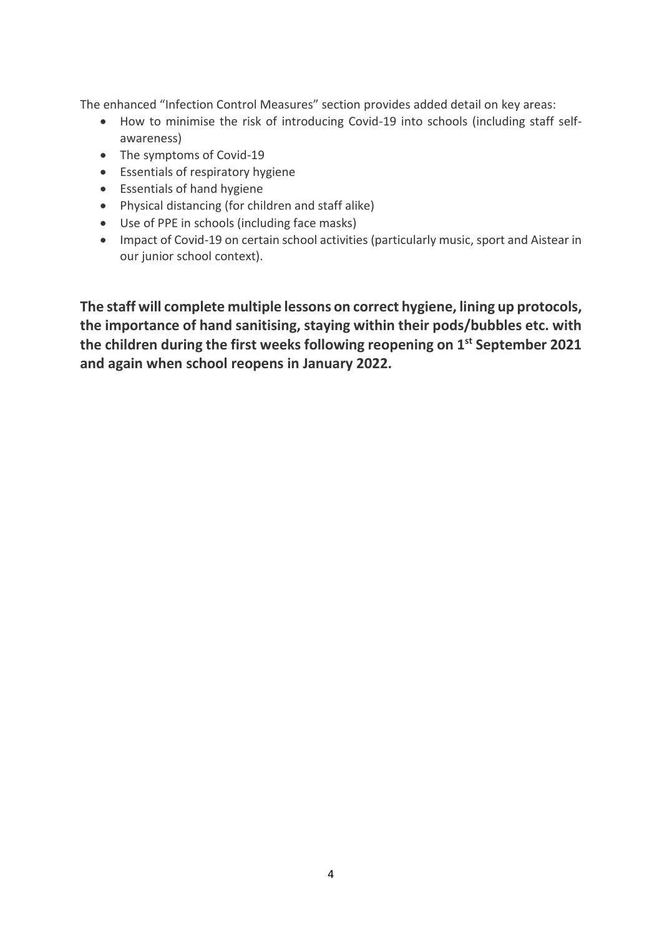The enhanced "Infection Control Measures" section provides added detail on key areas:

- How to minimise the risk of introducing Covid-19 into schools (including staff selfawareness)
- The symptoms of Covid-19
- Essentials of respiratory hygiene
- Essentials of hand hygiene
- Physical distancing (for children and staff alike)
- Use of PPE in schools (including face masks)
- Impact of Covid-19 on certain school activities (particularly music, sport and Aistear in our junior school context).

**The staff will complete multiple lessons on correct hygiene, lining up protocols, the importance of hand sanitising, staying within their pods/bubbles etc. with the children during the first weeks following reopening on 1st September 2021 and again when school reopens in January 2022.**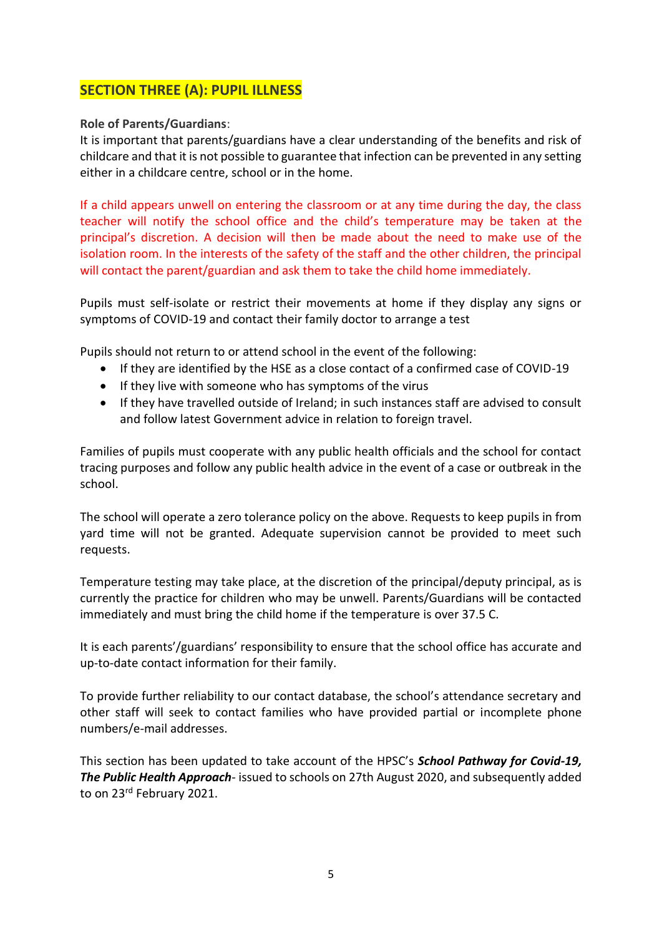# **SECTION THREE (A): PUPIL ILLNESS**

### **Role of Parents/Guardians**:

It is important that parents/guardians have a clear understanding of the benefits and risk of childcare and that it is not possible to guarantee that infection can be prevented in any setting either in a childcare centre, school or in the home.

If a child appears unwell on entering the classroom or at any time during the day, the class teacher will notify the school office and the child's temperature may be taken at the principal's discretion. A decision will then be made about the need to make use of the isolation room. In the interests of the safety of the staff and the other children, the principal will contact the parent/guardian and ask them to take the child home immediately.

Pupils must self-isolate or restrict their movements at home if they display any signs or symptoms of COVID-19 and contact their family doctor to arrange a test

Pupils should not return to or attend school in the event of the following:

- If they are identified by the HSE as a close contact of a confirmed case of COVID-19
- If they live with someone who has symptoms of the virus
- If they have travelled outside of Ireland; in such instances staff are advised to consult and follow latest Government advice in relation to foreign travel.

Families of pupils must cooperate with any public health officials and the school for contact tracing purposes and follow any public health advice in the event of a case or outbreak in the school.

The school will operate a zero tolerance policy on the above. Requests to keep pupils in from yard time will not be granted. Adequate supervision cannot be provided to meet such requests.

Temperature testing may take place, at the discretion of the principal/deputy principal, as is currently the practice for children who may be unwell. Parents/Guardians will be contacted immediately and must bring the child home if the temperature is over 37.5 C.

It is each parents'/guardians' responsibility to ensure that the school office has accurate and up-to-date contact information for their family.

To provide further reliability to our contact database, the school's attendance secretary and other staff will seek to contact families who have provided partial or incomplete phone numbers/e-mail addresses.

This section has been updated to take account of the HPSC's *School Pathway for Covid-19, The Public Health Approach*- issued to schools on 27th August 2020, and subsequently added to on 23<sup>rd</sup> February 2021.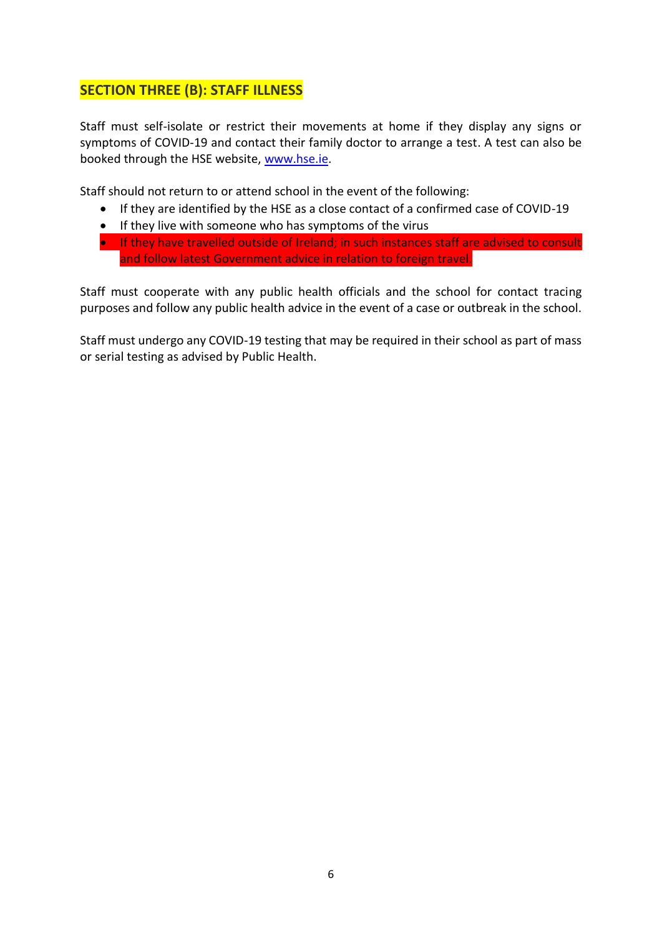# **SECTION THREE (B): STAFF ILLNESS**

Staff must self-isolate or restrict their movements at home if they display any signs or symptoms of COVID-19 and contact their family doctor to arrange a test. A test can also be booked through the HSE website, [www.hse.ie.](http://www.hse.ie/)

Staff should not return to or attend school in the event of the following:

- If they are identified by the HSE as a close contact of a confirmed case of COVID-19
- If they live with someone who has symptoms of the virus
- If they have travelled outside of Ireland; in such instances staff are advised to consult and follow latest Government advice in relation to foreign travel.

Staff must cooperate with any public health officials and the school for contact tracing purposes and follow any public health advice in the event of a case or outbreak in the school.

Staff must undergo any COVID-19 testing that may be required in their school as part of mass or serial testing as advised by Public Health.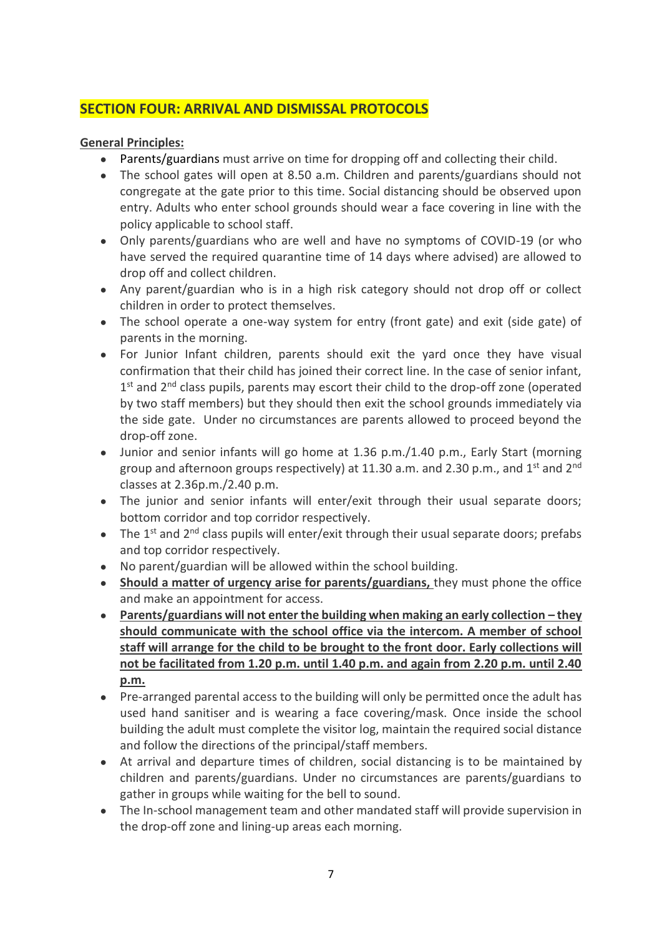# **SECTION FOUR: ARRIVAL AND DISMISSAL PROTOCOLS**

### **General Principles:**

- Parents/guardians must arrive on time for dropping off and collecting their child.
- The school gates will open at 8.50 a.m. Children and parents/guardians should not congregate at the gate prior to this time. Social distancing should be observed upon entry. Adults who enter school grounds should wear a face covering in line with the policy applicable to school staff.
- Only parents/guardians who are well and have no symptoms of COVID-19 (or who have served the required quarantine time of 14 days where advised) are allowed to drop off and collect children.
- Any parent/guardian who is in a high risk category should not drop off or collect children in order to protect themselves.
- The school operate a one-way system for entry (front gate) and exit (side gate) of parents in the morning.
- For Junior Infant children, parents should exit the yard once they have visual confirmation that their child has joined their correct line. In the case of senior infant, 1<sup>st</sup> and 2<sup>nd</sup> class pupils, parents may escort their child to the drop-off zone (operated by two staff members) but they should then exit the school grounds immediately via the side gate. Under no circumstances are parents allowed to proceed beyond the drop-off zone.
- Junior and senior infants will go home at 1.36 p.m./1.40 p.m., Early Start (morning group and afternoon groups respectively) at 11.30 a.m. and 2.30 p.m., and 1<sup>st</sup> and 2<sup>nd</sup> classes at 2.36p.m./2.40 p.m.
- The junior and senior infants will enter/exit through their usual separate doors; bottom corridor and top corridor respectively.
- $\bullet$  The 1<sup>st</sup> and 2<sup>nd</sup> class pupils will enter/exit through their usual separate doors; prefabs and top corridor respectively.
- No parent/guardian will be allowed within the school building.
- **Should a matter of urgency arise for parents/guardians, they must phone the office** and make an appointment for access.
- **Parents/guardians will not enter the building when making an early collection – they should communicate with the school office via the intercom. A member of school staff will arrange for the child to be brought to the front door. Early collections will not be facilitated from 1.20 p.m. until 1.40 p.m. and again from 2.20 p.m. until 2.40 p.m.**
- Pre-arranged parental access to the building will only be permitted once the adult has used hand sanitiser and is wearing a face covering/mask. Once inside the school building the adult must complete the visitor log, maintain the required social distance and follow the directions of the principal/staff members.
- At arrival and departure times of children, social distancing is to be maintained by children and parents/guardians. Under no circumstances are parents/guardians to gather in groups while waiting for the bell to sound.
- The In-school management team and other mandated staff will provide supervision in the drop-off zone and lining-up areas each morning.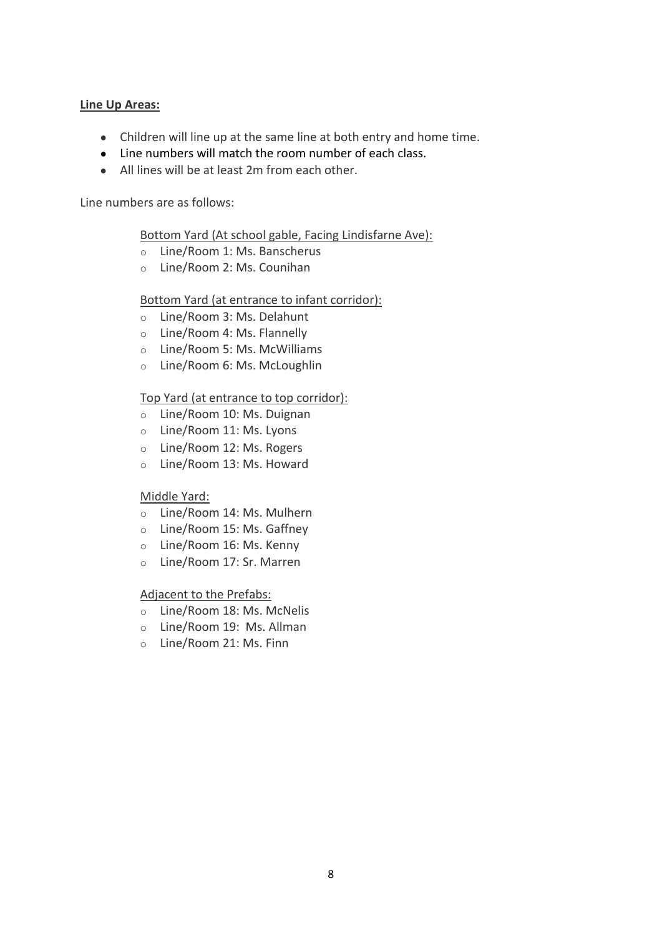### **Line Up Areas:**

- Children will line up at the same line at both entry and home time.
- Line numbers will match the room number of each class.
- All lines will be at least 2m from each other.

Line numbers are as follows:

Bottom Yard (At school gable, Facing Lindisfarne Ave):

- o Line/Room 1: Ms. Banscherus
- o Line/Room 2: Ms. Counihan

### Bottom Yard (at entrance to infant corridor):

- o Line/Room 3: Ms. Delahunt
- o Line/Room 4: Ms. Flannelly
- o Line/Room 5: Ms. McWilliams
- o Line/Room 6: Ms. McLoughlin

### Top Yard (at entrance to top corridor):

- o Line/Room 10: Ms. Duignan
- o Line/Room 11: Ms. Lyons
- o Line/Room 12: Ms. Rogers
- o Line/Room 13: Ms. Howard

### Middle Yard:

- o Line/Room 14: Ms. Mulhern
- o Line/Room 15: Ms. Gaffney
- o Line/Room 16: Ms. Kenny
- o Line/Room 17: Sr. Marren

### Adjacent to the Prefabs:

- o Line/Room 18: Ms. McNelis
- o Line/Room 19: Ms. Allman
- o Line/Room 21: Ms. Finn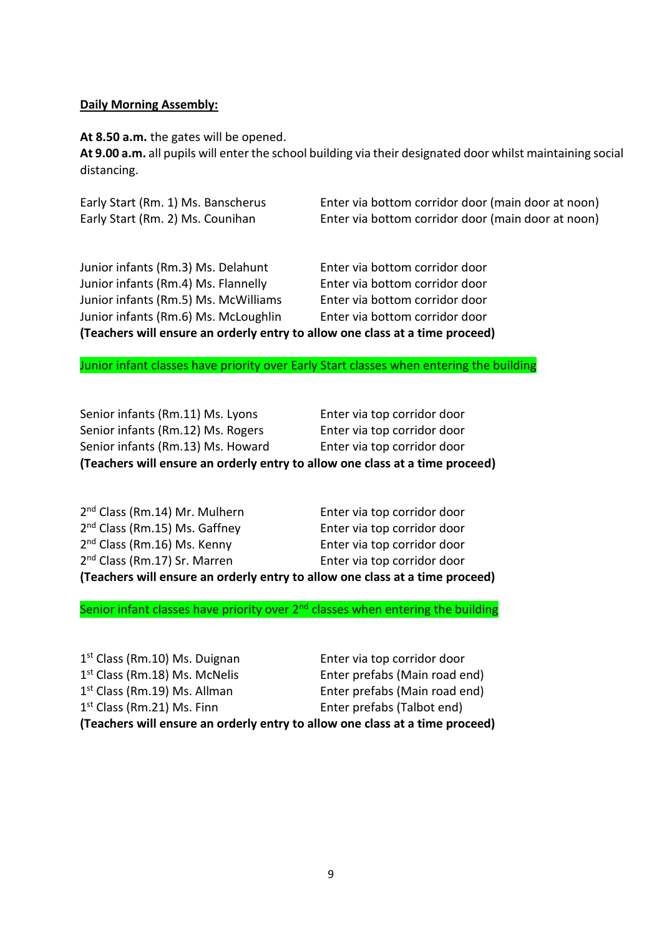### **Daily Morning Assembly:**

**At 8.50 a.m.** the gates will be opened.

**At 9.00 a.m.** all pupils will enter the school building via their designated door whilst maintaining social distancing.

| Early Start (Rm. 1) Ms. Banscherus | Enter via bottom corridor door (main door at noon) |
|------------------------------------|----------------------------------------------------|
| Early Start (Rm. 2) Ms. Counihan   | Enter via bottom corridor door (main door at noon) |

Junior infants (Rm.3) Ms. Delahunt Enter via bottom corridor door Junior infants (Rm.4) Ms. Flannelly Enter via bottom corridor door Junior infants (Rm.5) Ms. McWilliams Enter via bottom corridor door Junior infants (Rm.6) Ms. McLoughlin Enter via bottom corridor door **(Teachers will ensure an orderly entry to allow one class at a time proceed)**

Junior infant classes have priority over Early Start classes when entering the building

| (Teachers will ensure an orderly entry to allow one class at a time proceed) |                             |  |
|------------------------------------------------------------------------------|-----------------------------|--|
| Senior infants (Rm.13) Ms. Howard                                            | Enter via top corridor door |  |
| Senior infants (Rm.12) Ms. Rogers                                            | Enter via top corridor door |  |
| Senior infants (Rm.11) Ms. Lyons                                             | Enter via top corridor door |  |

| (Teachers will ensure an orderly entry to allow one class at a time proceed) |                             |  |
|------------------------------------------------------------------------------|-----------------------------|--|
| 2 <sup>nd</sup> Class (Rm.17) Sr. Marren                                     | Enter via top corridor door |  |
| 2 <sup>nd</sup> Class (Rm.16) Ms. Kenny                                      | Enter via top corridor door |  |
| 2 <sup>nd</sup> Class (Rm.15) Ms. Gaffney                                    | Enter via top corridor door |  |
| 2 <sup>nd</sup> Class (Rm.14) Mr. Mulhern                                    | Enter via top corridor door |  |

Senior infant classes have priority over  $2<sup>nd</sup>$  classes when entering the building

1<sup>st</sup> Class (Rm.10) Ms. Duignan **Enter via top corridor door** 1<sup>st</sup> Class (Rm.18) Ms. McNelis Enter prefabs (Main road end) 1<sup>st</sup> Class (Rm.19) Ms. Allman Enter prefabs (Main road end) 1<sup>st</sup> Class (Rm.21) Ms. Finn Enter prefabs (Talbot end) **(Teachers will ensure an orderly entry to allow one class at a time proceed)**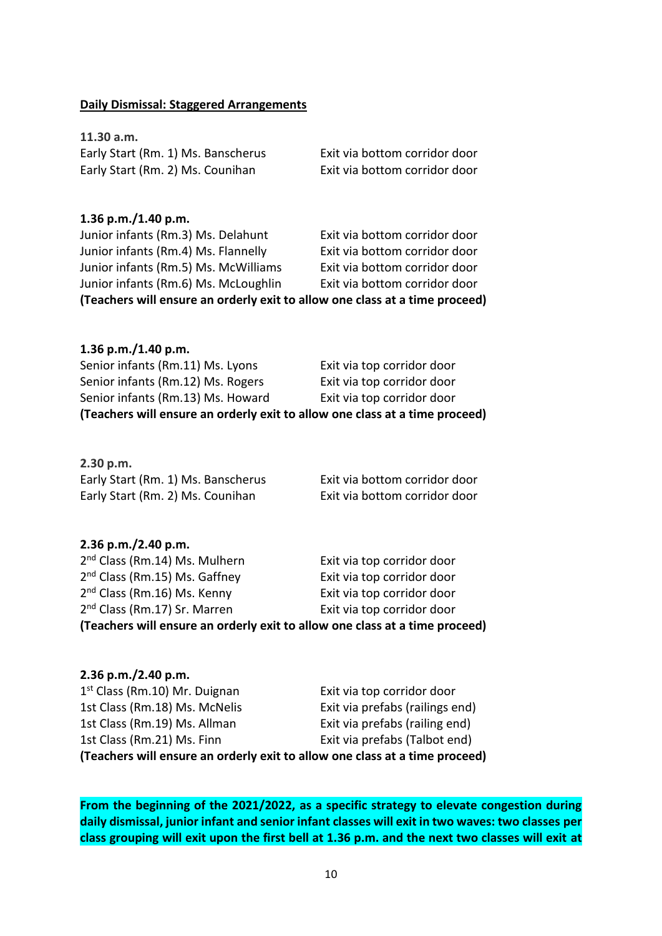#### **Daily Dismissal: Staggered Arrangements**

**11.30 a.m.**  Early Start (Rm. 1) Ms. Banscherus Exit via bottom corridor door Early Start (Rm. 2) Ms. Counihan Exit via bottom corridor door

### **1.36 p.m./1.40 p.m.** Junior infants (Rm.3) Ms. Delahunt Exit via bottom corridor door Junior infants (Rm.4) Ms. Flannelly Exit via bottom corridor door Junior infants (Rm.5) Ms. McWilliams Exit via bottom corridor door Junior infants (Rm.6) Ms. McLoughlin Exit via bottom corridor door **(Teachers will ensure an orderly exit to allow one class at a time proceed)**

| 1.36 p.m./1.40 p.m.                                                         |                            |  |
|-----------------------------------------------------------------------------|----------------------------|--|
| Senior infants (Rm.11) Ms. Lyons                                            | Exit via top corridor door |  |
| Senior infants (Rm.12) Ms. Rogers                                           | Exit via top corridor door |  |
| Senior infants (Rm.13) Ms. Howard                                           | Exit via top corridor door |  |
| (Teachers will ensure an orderly exit to allow one class at a time proceed) |                            |  |

| 2.30 p.m.                          |                               |
|------------------------------------|-------------------------------|
| Early Start (Rm. 1) Ms. Banscherus | Exit via bottom corridor door |
| Early Start (Rm. 2) Ms. Counihan   | Exit via bottom corridor door |

### **2.36 p.m./2.40 p.m.**

| (Teachers will ensure an orderly exit to allow one class at a time proceed) |                            |  |
|-----------------------------------------------------------------------------|----------------------------|--|
| 2 <sup>nd</sup> Class (Rm.17) Sr. Marren                                    | Exit via top corridor door |  |
| 2 <sup>nd</sup> Class (Rm.16) Ms. Kenny                                     | Exit via top corridor door |  |
| 2 <sup>nd</sup> Class (Rm.15) Ms. Gaffney                                   | Exit via top corridor door |  |
| 2 <sup>nd</sup> Class (Rm.14) Ms. Mulhern                                   | Exit via top corridor door |  |

#### **2.36 p.m./2.40 p.m.**

| (Teachers will ensure an orderly exit to allow one class at a time proceed) |                                 |  |
|-----------------------------------------------------------------------------|---------------------------------|--|
| 1st Class (Rm.21) Ms. Finn                                                  | Exit via prefabs (Talbot end)   |  |
| 1st Class (Rm.19) Ms. Allman                                                | Exit via prefabs (railing end)  |  |
| 1st Class (Rm.18) Ms. McNelis                                               | Exit via prefabs (railings end) |  |
| 1 <sup>st</sup> Class (Rm.10) Mr. Duignan                                   | Exit via top corridor door      |  |

**From the beginning of the 2021/2022, as a specific strategy to elevate congestion during daily dismissal, junior infant and senior infant classes will exit in two waves: two classes per class grouping will exit upon the first bell at 1.36 p.m. and the next two classes will exit at**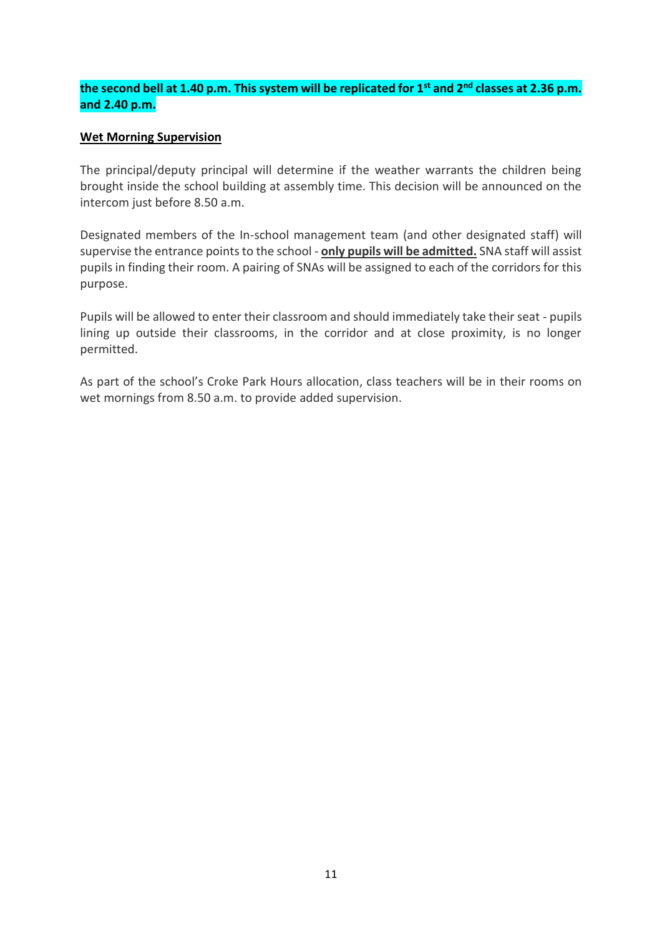### **the second bell at 1.40 p.m. This system will be replicated for 1st and 2nd classes at 2.36 p.m. and 2.40 p.m.**

### **Wet Morning Supervision**

The principal/deputy principal will determine if the weather warrants the children being brought inside the school building at assembly time. This decision will be announced on the intercom just before 8.50 a.m.

Designated members of the In-school management team (and other designated staff) will supervise the entrance points to the school - **only pupils will be admitted.** SNA staff will assist pupils in finding their room. A pairing of SNAs will be assigned to each of the corridors for this purpose.

Pupils will be allowed to enter their classroom and should immediately take their seat - pupils lining up outside their classrooms, in the corridor and at close proximity, is no longer permitted.

As part of the school's Croke Park Hours allocation, class teachers will be in their rooms on wet mornings from 8.50 a.m. to provide added supervision.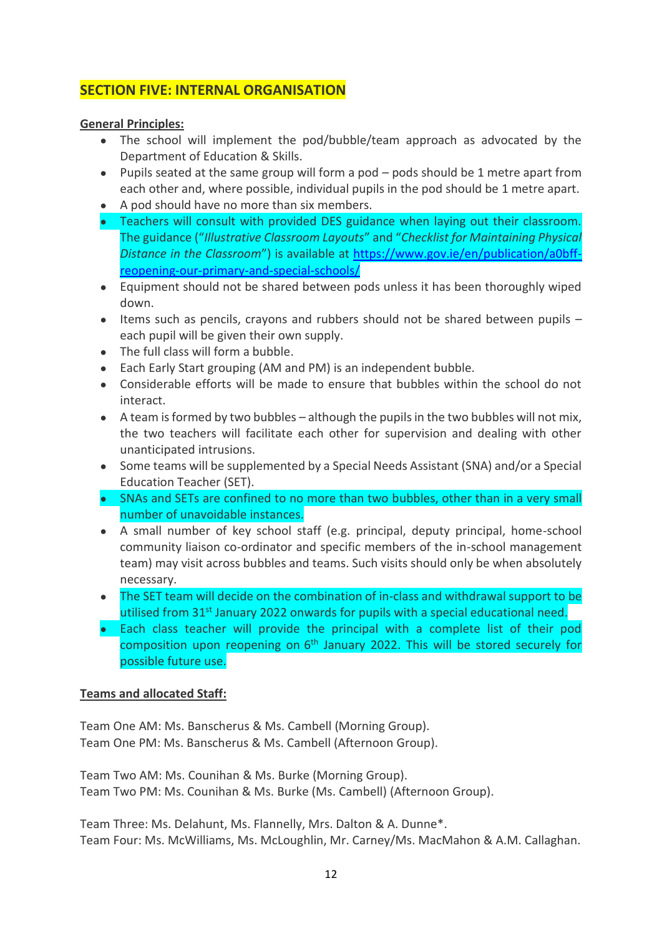# **SECTION FIVE: INTERNAL ORGANISATION**

### **General Principles:**

- The school will implement the pod/bubble/team approach as advocated by the Department of Education & Skills.
- Pupils seated at the same group will form a pod pods should be 1 metre apart from each other and, where possible, individual pupils in the pod should be 1 metre apart.
- A pod should have no more than six members.
- Teachers will consult with provided DES guidance when laying out their classroom. The guidance ("*Illustrative Classroom Layouts*" and "*Checklist for Maintaining Physical Distance in the Classroom*") is available at [https://www.gov.ie/en/publication/a0bff](https://www.gov.ie/en/publication/a0bff-reopening-our-primary-and-special-schools/)[reopening-our-primary-and-special-schools/](https://www.gov.ie/en/publication/a0bff-reopening-our-primary-and-special-schools/)
- Equipment should not be shared between pods unless it has been thoroughly wiped down.
- Items such as pencils, crayons and rubbers should not be shared between pupils each pupil will be given their own supply.
- The full class will form a bubble.
- Each Early Start grouping (AM and PM) is an independent bubble.
- Considerable efforts will be made to ensure that bubbles within the school do not interact.
- $\bullet$  A team is formed by two bubbles although the pupils in the two bubbles will not mix, the two teachers will facilitate each other for supervision and dealing with other unanticipated intrusions.
- Some teams will be supplemented by a Special Needs Assistant (SNA) and/or a Special Education Teacher (SET).
- SNAs and SETs are confined to no more than two bubbles, other than in a very small number of unavoidable instances.
- A small number of key school staff (e.g. principal, deputy principal, home-school community liaison co-ordinator and specific members of the in-school management team) may visit across bubbles and teams. Such visits should only be when absolutely necessary.
- The SET team will decide on the combination of in-class and withdrawal support to be utilised from 31<sup>st</sup> January 2022 onwards for pupils with a special educational need.
- Each class teacher will provide the principal with a complete list of their pod composition upon reopening on 6<sup>th</sup> January 2022. This will be stored securely for possible future use.

### **Teams and allocated Staff:**

Team One AM: Ms. Banscherus & Ms. Cambell (Morning Group). Team One PM: Ms. Banscherus & Ms. Cambell (Afternoon Group).

Team Two AM: Ms. Counihan & Ms. Burke (Morning Group). Team Two PM: Ms. Counihan & Ms. Burke (Ms. Cambell) (Afternoon Group).

Team Three: Ms. Delahunt, Ms. Flannelly, Mrs. Dalton & A. Dunne\*. Team Four: Ms. McWilliams, Ms. McLoughlin, Mr. Carney/Ms. MacMahon & A.M. Callaghan.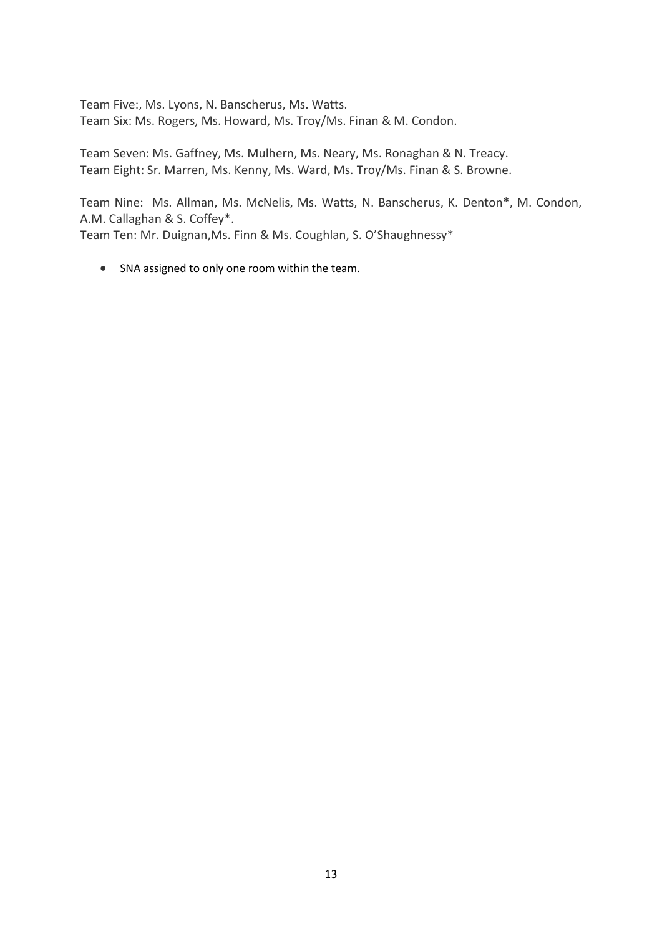Team Five:, Ms. Lyons, N. Banscherus, Ms. Watts. Team Six: Ms. Rogers, Ms. Howard, Ms. Troy/Ms. Finan & M. Condon.

Team Seven: Ms. Gaffney, Ms. Mulhern, Ms. Neary, Ms. Ronaghan & N. Treacy. Team Eight: Sr. Marren, Ms. Kenny, Ms. Ward, Ms. Troy/Ms. Finan & S. Browne.

Team Nine: Ms. Allman, Ms. McNelis, Ms. Watts, N. Banscherus, K. Denton\*, M. Condon, A.M. Callaghan & S. Coffey\*. Team Ten: Mr. Duignan,Ms. Finn & Ms. Coughlan, S. O'Shaughnessy\*

• SNA assigned to only one room within the team.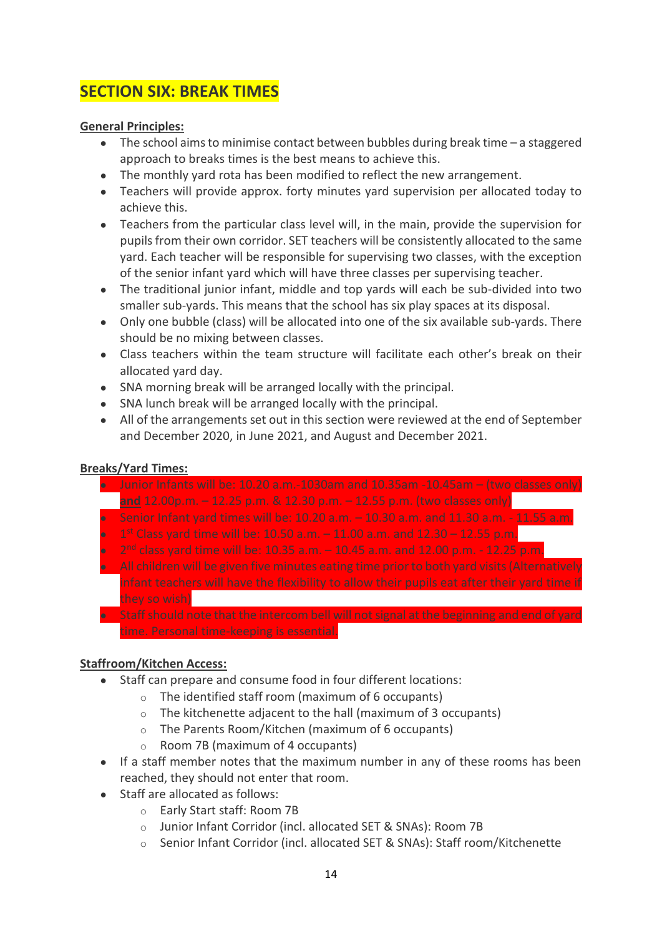# **SECTION SIX: BREAK TIMES**

### **General Principles:**

- The school aims to minimise contact between bubbles during break time a staggered approach to breaks times is the best means to achieve this.
- The monthly yard rota has been modified to reflect the new arrangement.
- Teachers will provide approx. forty minutes yard supervision per allocated today to achieve this.
- Teachers from the particular class level will, in the main, provide the supervision for pupils from their own corridor. SET teachers will be consistently allocated to the same yard. Each teacher will be responsible for supervising two classes, with the exception of the senior infant yard which will have three classes per supervising teacher.
- The traditional junior infant, middle and top yards will each be sub-divided into two smaller sub-yards. This means that the school has six play spaces at its disposal.
- Only one bubble (class) will be allocated into one of the six available sub-yards. There should be no mixing between classes.
- Class teachers within the team structure will facilitate each other's break on their allocated yard day.
- SNA morning break will be arranged locally with the principal.
- SNA lunch break will be arranged locally with the principal.
- All of the arrangements set out in this section were reviewed at the end of September and December 2020, in June 2021, and August and December 2021.

### **Breaks/Yard Times:**

 $\bullet$  Junior Infants will be: 10.20 a.m.-1030am and 10.35am -10.45am – (two classes only) **and** 12.00p.m. – 12.25 p.m. & 12.30 p.m. – 12.55 p.m. (two classes only) Senior Infant yard times will be: 10.20 a.m.  $-$  10.30 a.m. and 11.30 a.m. - 11.55 a.m. **•** 1<sup>st</sup> Class yard time will be: 10.50 a.m.  $-$  11.00 a.m. and 12.30  $-$  12.55 p.m.  $\bullet$  2<sup>nd</sup> class yard time will be: 10.35 a.m.  $-$  10.45 a.m. and 12.00 p.m.  $-$  12.25 p.m. ● All children will be given five minutes eating time prior to both yard visits (Alternatively infant teachers will have the flexibility to allow their pupils eat after their yard time if they so wish) ● Staff should note that the intercom bell will not signal at the beginning and end of yard time. Personal time-keeping is essential.

### **Staffroom/Kitchen Access:**

- Staff can prepare and consume food in four different locations:
	- o The identified staff room (maximum of 6 occupants)
	- o The kitchenette adjacent to the hall (maximum of 3 occupants)
	- o The Parents Room/Kitchen (maximum of 6 occupants)
	- o Room 7B (maximum of 4 occupants)
- If a staff member notes that the maximum number in any of these rooms has been reached, they should not enter that room.
- Staff are allocated as follows:
	- o Early Start staff: Room 7B
	- o Junior Infant Corridor (incl. allocated SET & SNAs): Room 7B
	- o Senior Infant Corridor (incl. allocated SET & SNAs): Staff room/Kitchenette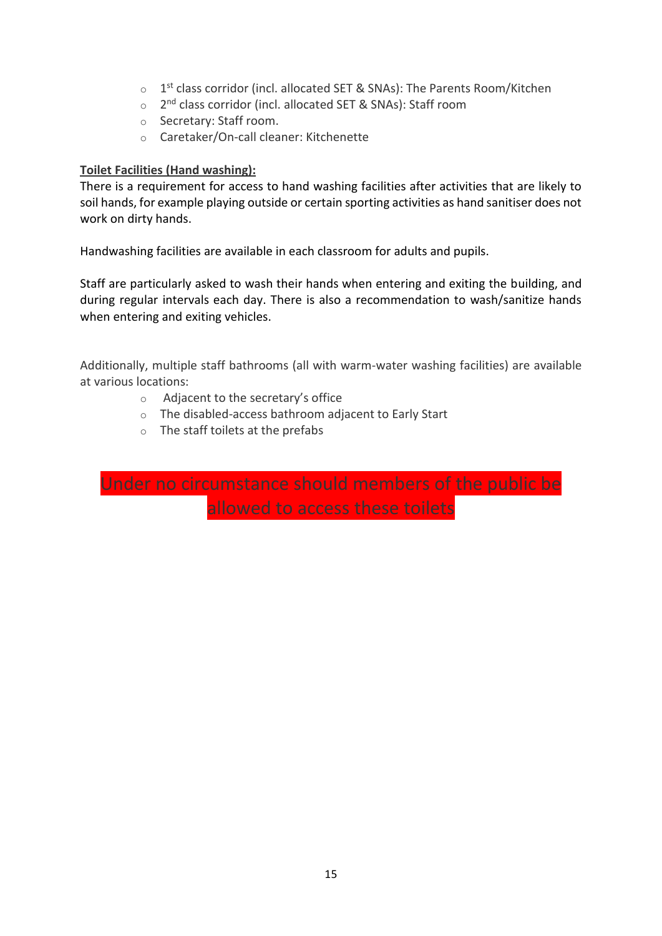- o 1<sup>st</sup> class corridor (incl. allocated SET & SNAs): The Parents Room/Kitchen
- o 2<sup>nd</sup> class corridor (incl. allocated SET & SNAs): Staff room
- o Secretary: Staff room.
- o Caretaker/On-call cleaner: Kitchenette

### **Toilet Facilities (Hand washing):**

There is a requirement for access to hand washing facilities after activities that are likely to soil hands, for example playing outside or certain sporting activities as hand sanitiser does not work on dirty hands.

Handwashing facilities are available in each classroom for adults and pupils.

Staff are particularly asked to wash their hands when entering and exiting the building, and during regular intervals each day. There is also a recommendation to wash/sanitize hands when entering and exiting vehicles.

Additionally, multiple staff bathrooms (all with warm-water washing facilities) are available at various locations:

- o Adjacent to the secretary's office
- o The disabled-access bathroom adjacent to Early Start
- o The staff toilets at the prefabs

Under no circumstance should members of the public be allowed to access these toilets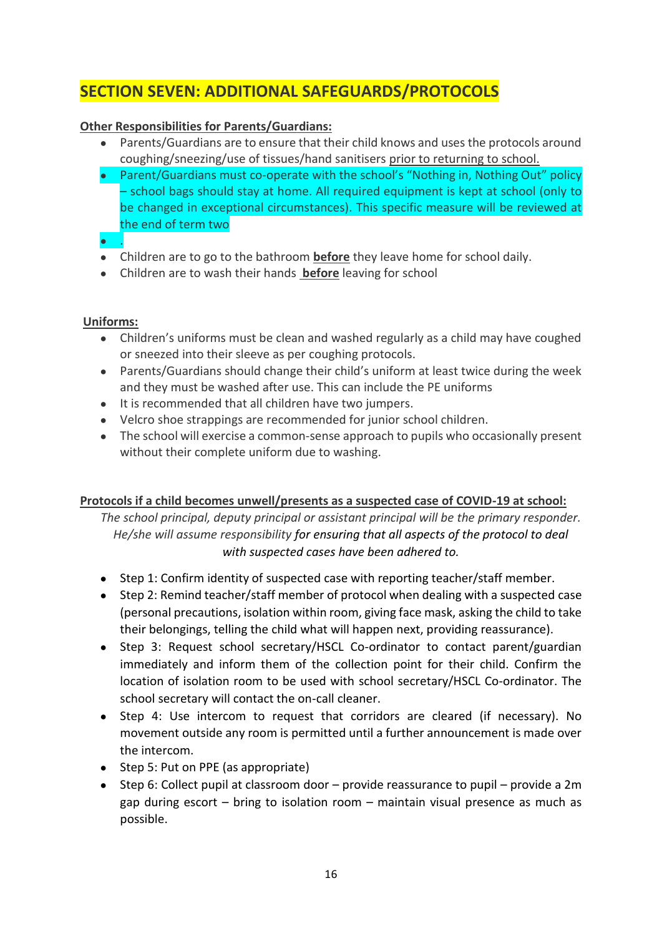# **SECTION SEVEN: ADDITIONAL SAFEGUARDS/PROTOCOLS**

### **Other Responsibilities for Parents/Guardians:**

- Parents/Guardians are to ensure that their child knows and uses the protocols around coughing/sneezing/use of tissues/hand sanitisers prior to returning to school.
- Parent/Guardians must co-operate with the school's "Nothing in, Nothing Out" policy – school bags should stay at home. All required equipment is kept at school (only to be changed in exceptional circumstances). This specific measure will be reviewed at the end of term two
- .
- Children are to go to the bathroom **before** they leave home for school daily.
- Children are to wash their hands **before** leaving for school

### **Uniforms:**

- Children's uniforms must be clean and washed regularly as a child may have coughed or sneezed into their sleeve as per coughing protocols.
- Parents/Guardians should change their child's uniform at least twice during the week and they must be washed after use. This can include the PE uniforms
- It is recommended that all children have two jumpers.
- Velcro shoe strappings are recommended for junior school children.
- The school will exercise a common-sense approach to pupils who occasionally present without their complete uniform due to washing.

### **Protocols if a child becomes unwell/presents as a suspected case of COVID-19 at school:**

*The school principal, deputy principal or assistant principal will be the primary responder. He/she will assume responsibility for ensuring that all aspects of the protocol to deal with suspected cases have been adhered to.*

- Step 1: Confirm identity of suspected case with reporting teacher/staff member.
- Step 2: Remind teacher/staff member of protocol when dealing with a suspected case (personal precautions, isolation within room, giving face mask, asking the child to take their belongings, telling the child what will happen next, providing reassurance).
- Step 3: Request school secretary/HSCL Co-ordinator to contact parent/guardian immediately and inform them of the collection point for their child. Confirm the location of isolation room to be used with school secretary/HSCL Co-ordinator. The school secretary will contact the on-call cleaner.
- Step 4: Use intercom to request that corridors are cleared (if necessary). No movement outside any room is permitted until a further announcement is made over the intercom.
- Step 5: Put on PPE (as appropriate)
- Step 6: Collect pupil at classroom door  $-$  provide reassurance to pupil  $-$  provide a 2m gap during escort – bring to isolation room – maintain visual presence as much as possible.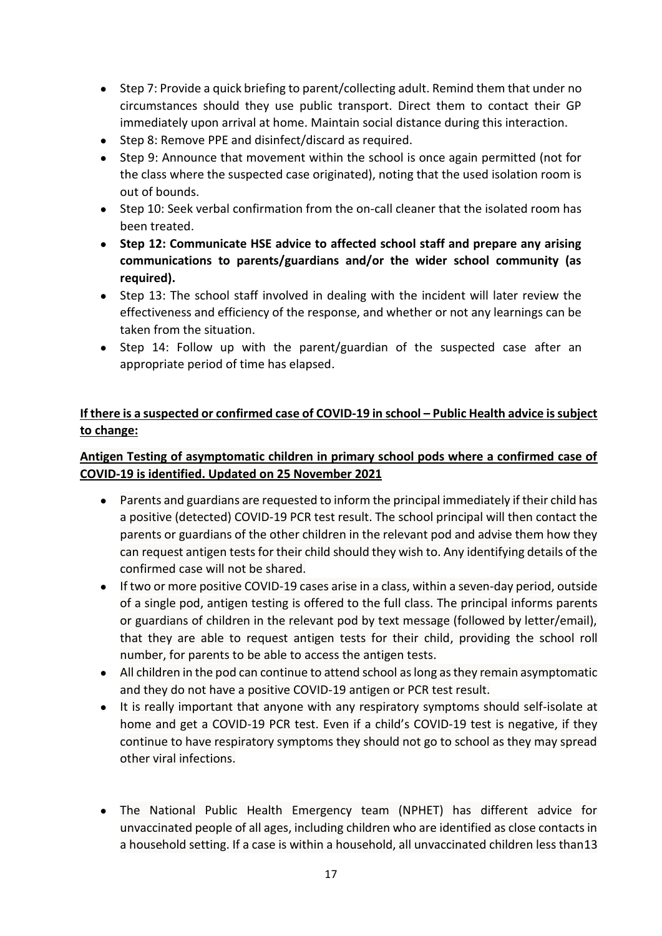- Step 7: Provide a quick briefing to parent/collecting adult. Remind them that under no circumstances should they use public transport. Direct them to contact their GP immediately upon arrival at home. Maintain social distance during this interaction.
- Step 8: Remove PPE and disinfect/discard as required.
- Step 9: Announce that movement within the school is once again permitted (not for the class where the suspected case originated), noting that the used isolation room is out of bounds.
- Step 10: Seek verbal confirmation from the on-call cleaner that the isolated room has been treated.
- **Step 12: Communicate HSE advice to affected school staff and prepare any arising communications to parents/guardians and/or the wider school community (as required).**
- Step 13: The school staff involved in dealing with the incident will later review the effectiveness and efficiency of the response, and whether or not any learnings can be taken from the situation.
- Step 14: Follow up with the parent/guardian of the suspected case after an appropriate period of time has elapsed.

### **If there is a suspected or confirmed case of COVID-19 in school – Public Health advice is subject to change:**

# **Antigen Testing of asymptomatic children in primary school pods where a confirmed case of COVID-19 is identified. Updated on 25 November 2021**

- Parents and guardians are requested to inform the principal immediately if their child has a positive (detected) COVID-19 PCR test result. The school principal will then contact the parents or guardians of the other children in the relevant pod and advise them how they can request antigen tests for their child should they wish to. Any identifying details of the confirmed case will not be shared.
- If two or more positive COVID-19 cases arise in a class, within a seven-day period, outside of a single pod, antigen testing is offered to the full class. The principal informs parents or guardians of children in the relevant pod by text message (followed by letter/email), that they are able to request antigen tests for their child, providing the school roll number, for parents to be able to access the antigen tests.
- All children in the pod can continue to attend school as long as they remain asymptomatic and they do not have a positive COVID-19 antigen or PCR test result.
- It is really important that anyone with any respiratory symptoms should self-isolate at home and get a COVID-19 PCR test. Even if a child's COVID-19 test is negative, if they continue to have respiratory symptoms they should not go to school as they may spread other viral infections.
- The National Public Health Emergency team (NPHET) has different advice for unvaccinated people of all ages, including children who are identified as close contacts in a household setting. If a case is within a household, all unvaccinated children less than13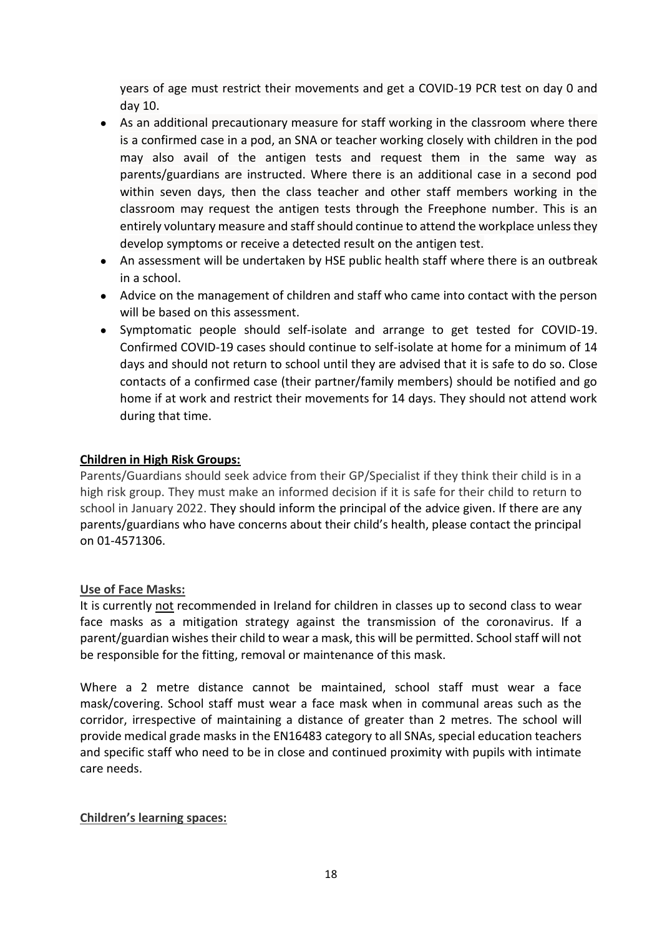years of age must restrict their movements and get a COVID-19 PCR test on day 0 and day 10.

- As an additional precautionary measure for staff working in the classroom where there is a confirmed case in a pod, an SNA or teacher working closely with children in the pod may also avail of the antigen tests and request them in the same way as parents/guardians are instructed. Where there is an additional case in a second pod within seven days, then the class teacher and other staff members working in the classroom may request the antigen tests through the Freephone number. This is an entirely voluntary measure and staff should continue to attend the workplace unless they develop symptoms or receive a detected result on the antigen test.
- An assessment will be undertaken by HSE public health staff where there is an outbreak in a school.
- Advice on the management of children and staff who came into contact with the person will be based on this assessment.
- Symptomatic people should self-isolate and arrange to get tested for COVID-19. Confirmed COVID-19 cases should continue to self-isolate at home for a minimum of 14 days and should not return to school until they are advised that it is safe to do so. Close contacts of a confirmed case (their partner/family members) should be notified and go home if at work and restrict their movements for 14 days. They should not attend work during that time.

### **Children in High Risk Groups:**

Parents/Guardians should seek advice from their GP/Specialist if they think their child is in a high risk group. They must make an informed decision if it is safe for their child to return to school in January 2022. They should inform the principal of the advice given. If there are any parents/guardians who have concerns about their child's health, please contact the principal on 01-4571306.

### **Use of Face Masks:**

It is currently not recommended in Ireland for children in classes up to second class to wear face masks as a mitigation strategy against the transmission of the coronavirus. If a parent/guardian wishes their child to wear a mask, this will be permitted. School staff will not be responsible for the fitting, removal or maintenance of this mask.

Where a 2 metre distance cannot be maintained, school staff must wear a face mask/covering. School staff must wear a face mask when in communal areas such as the corridor, irrespective of maintaining a distance of greater than 2 metres. The school will provide medical grade masks in the EN16483 category to all SNAs, special education teachers and specific staff who need to be in close and continued proximity with pupils with intimate care needs.

### **Children's learning spaces:**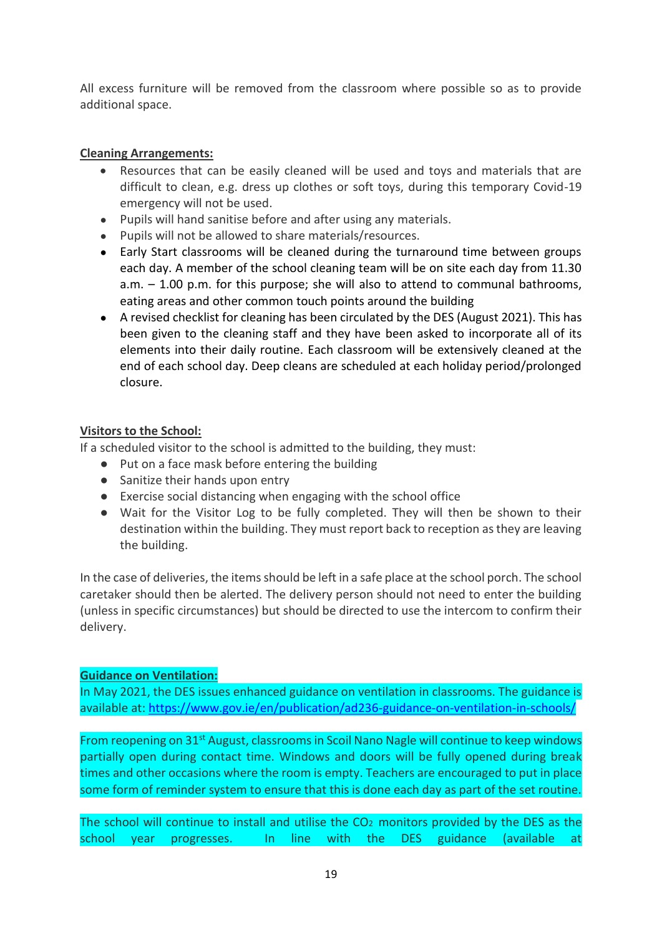All excess furniture will be removed from the classroom where possible so as to provide additional space.

### **Cleaning Arrangements:**

- Resources that can be easily cleaned will be used and toys and materials that are difficult to clean, e.g. dress up clothes or soft toys, during this temporary Covid-19 emergency will not be used.
- Pupils will hand sanitise before and after using any materials.
- Pupils will not be allowed to share materials/resources.
- Early Start classrooms will be cleaned during the turnaround time between groups each day. A member of the school cleaning team will be on site each day from 11.30 a.m. – 1.00 p.m. for this purpose; she will also to attend to communal bathrooms, eating areas and other common touch points around the building
- A revised checklist for cleaning has been circulated by the DES (August 2021). This has been given to the cleaning staff and they have been asked to incorporate all of its elements into their daily routine. Each classroom will be extensively cleaned at the end of each school day. Deep cleans are scheduled at each holiday period/prolonged closure.

### **Visitors to the School:**

If a scheduled visitor to the school is admitted to the building, they must:

- Put on a face mask before entering the building
- Sanitize their hands upon entry
- Exercise social distancing when engaging with the school office
- Wait for the Visitor Log to be fully completed. They will then be shown to their destination within the building. They must report back to reception as they are leaving the building.

In the case of deliveries, the items should be left in a safe place at the school porch. The school caretaker should then be alerted. The delivery person should not need to enter the building (unless in specific circumstances) but should be directed to use the intercom to confirm their delivery.

### **Guidance on Ventilation:**

In May 2021, the DES issues enhanced guidance on ventilation in classrooms. The guidance is available at[: https://www.gov.ie/en/publication/ad236-guidance-on-ventilation-in-schools/](https://www.gov.ie/en/publication/ad236-guidance-on-ventilation-in-schools/)

From reopening on 31<sup>st</sup> August, classrooms in Scoil Nano Nagle will continue to keep windows partially open during contact time. Windows and doors will be fully opened during break times and other occasions where the room is empty. Teachers are encouraged to put in place some form of reminder system to ensure that this is done each day as part of the set routine.

The school will continue to install and utilise the CO2 monitors provided by the DES as the school year progresses. In line with the DES guidance (available at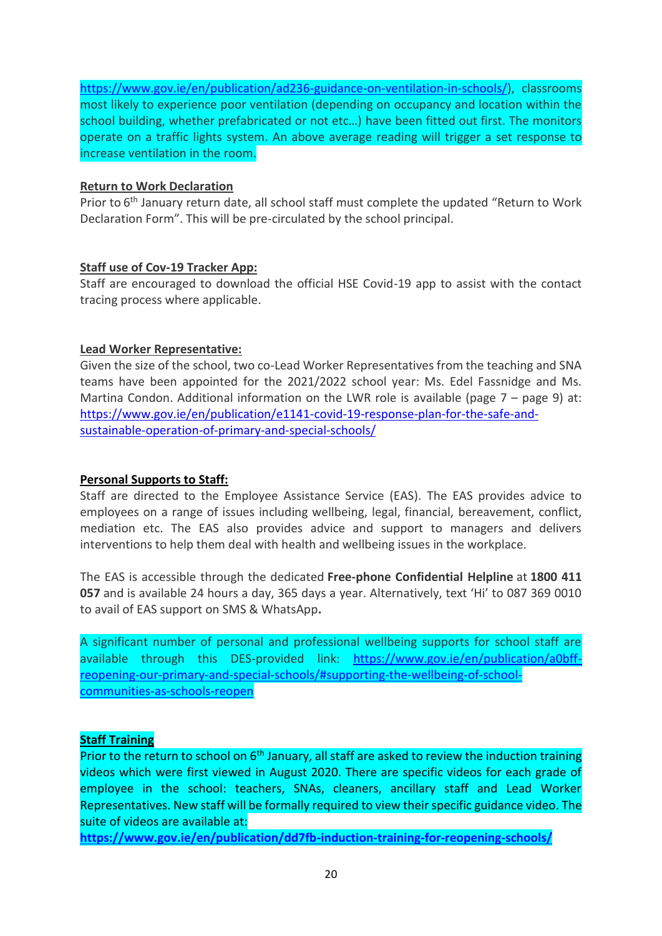[https://www.gov.ie/en/publication/ad236-guidance-on-ventilation-in-schools/\)](https://www.gov.ie/en/publication/ad236-guidance-on-ventilation-in-schools/), classrooms most likely to experience poor ventilation (depending on occupancy and location within the school building, whether prefabricated or not etc…) have been fitted out first. The monitors operate on a traffic lights system. An above average reading will trigger a set response to increase ventilation in the room.

### **Return to Work Declaration**

Prior to 6<sup>th</sup> January return date, all school staff must complete the updated "Return to Work Declaration Form". This will be pre-circulated by the school principal.

### **Staff use of Cov-19 Tracker App:**

Staff are encouraged to download the official HSE Covid-19 app to assist with the contact tracing process where applicable.

### **Lead Worker Representative:**

Given the size of the school, two co-Lead Worker Representatives from the teaching and SNA teams have been appointed for the 2021/2022 school year: Ms. Edel Fassnidge and Ms. Martina Condon. Additional information on the LWR role is available (page 7 – page 9) at: [https://www.gov.ie/en/publication/e1141-covid-19-response-plan-for-the-safe-and](https://www.gov.ie/en/publication/e1141-covid-19-response-plan-for-the-safe-and-sustainable-operation-of-primary-and-special-schools/)[sustainable-operation-of-primary-and-special-schools/](https://www.gov.ie/en/publication/e1141-covid-19-response-plan-for-the-safe-and-sustainable-operation-of-primary-and-special-schools/)

### **Personal Supports to Staff:**

Staff are directed to the Employee Assistance Service (EAS). The EAS provides advice to employees on a range of issues including wellbeing, legal, financial, bereavement, conflict, mediation etc. The EAS also provides advice and support to managers and delivers interventions to help them deal with health and wellbeing issues in the workplace.

The EAS is accessible through the dedicated **Free-phone Confidential Helpline** at **1800 411 057** and is available 24 hours a day, 365 days a year. Alternatively, text 'Hi' to 087 369 0010 to avail of EAS support on SMS & WhatsApp**.**

A significant number of personal and professional wellbeing supports for school staff are available through this DES-provided link: [https://www.gov.ie/en/publication/a0bff](https://www.gov.ie/en/publication/a0bff-reopening-our-primary-and-special-schools/#supporting-the-wellbeing-of-school-communities-as-schools-reopen)[reopening-our-primary-and-special-schools/#supporting-the-wellbeing-of-school](https://www.gov.ie/en/publication/a0bff-reopening-our-primary-and-special-schools/#supporting-the-wellbeing-of-school-communities-as-schools-reopen)[communities-as-schools-reopen](https://www.gov.ie/en/publication/a0bff-reopening-our-primary-and-special-schools/#supporting-the-wellbeing-of-school-communities-as-schools-reopen)

### **Staff Training**

Prior to the return to school on 6<sup>th</sup> January, all staff are asked to review the induction training videos which were first viewed in August 2020. There are specific videos for each grade of employee in the school: teachers, SNAs, cleaners, ancillary staff and Lead Worker Representatives. New staff will be formally required to view their specific guidance video. The suite of videos are available at:

**<https://www.gov.ie/en/publication/dd7fb-induction-training-for-reopening-schools/>**